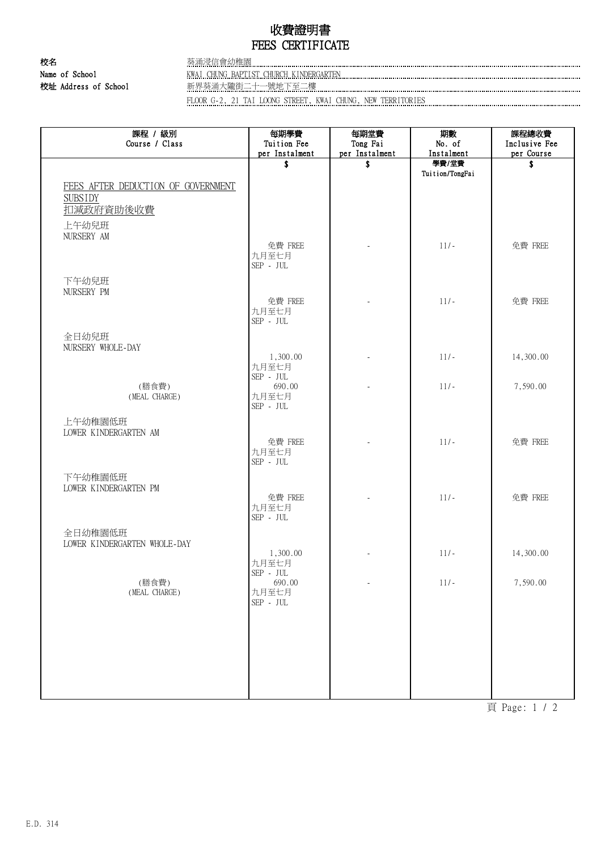## 收費證明書 FEES CERTIFICATE

校名 李 李 李 李 李 苏浦浸信會幼稚園

Name of School **KWAI CHUNG BAPTIST CHURCH KINDERGARTEN KINDERGARTEN KINDERGARTEN** 

校址 Address of School 新界葵涌大隴街二十一號地下至二樓

FLOOR G-2, 21 TAI LOONG STREET, KWAI CHUNG, NEW TERRITORIES

| 課程 / 級別<br>Course / Class                                         | 每期學費<br>Tuition Fee                                          | 每期堂費<br>Tong Fai | 期數<br>No. of             | 課程總收費<br>Inclusive Fee |
|-------------------------------------------------------------------|--------------------------------------------------------------|------------------|--------------------------|------------------------|
|                                                                   | per Instalment                                               | per Instalment   | Instalment               | per Course             |
|                                                                   | \$                                                           | \$               | 學費/堂費<br>Tuition/TongFai | \$                     |
| FEES AFTER DEDUCTION OF GOVERNMENT<br><b>SUBSIDY</b><br>扣減政府資助後收費 |                                                              |                  |                          |                        |
| 上午幼兒班                                                             |                                                              |                  |                          |                        |
| NURSERY AM                                                        | 免費 FREE<br>九月至七月<br>$\mbox{SEP}$ - $\mbox{JUL}$              |                  | $11/-$                   | 免費 FREE                |
| 下午幼兒班                                                             |                                                              |                  |                          |                        |
| NURSERY PM                                                        | 免費 FREE<br>九月至七月<br>$\mbox{SEP}$ - $\mbox{JUL}$              |                  | $11/-$                   | 免費 FREE                |
| 全日幼兒班                                                             |                                                              |                  |                          |                        |
| NURSERY WHOLE-DAY                                                 | 1,300.00                                                     |                  | $11/-$                   | 14,300.00              |
|                                                                   | 九月至七月<br>$\ensuremath{\mathsf{SEP}}\xspace$ - JUL            |                  |                          |                        |
| (膳食費)<br>(MEAL CHARGE)                                            | 690.00<br>九月至七月<br>$\mbox{SEP}$ - $\mbox{JUL}$               |                  | $11/-$                   | 7,590.00               |
| 上午幼稚園低班<br>LOWER KINDERGARTEN AM                                  |                                                              |                  |                          |                        |
|                                                                   | 免費 FREE<br>九月至七月<br>$\ensuremath{\mathsf{SEP}}\xspace$ - JUL |                  | $11/-$                   | 免費 FREE                |
| 下午幼稚園低班                                                           |                                                              |                  |                          |                        |
| LOWER KINDERGARTEN PM                                             | 免費 FREE<br>九月至七月<br>$\mbox{SEP}$ - $\mbox{JUL}$              |                  | $11/-$                   | 免費 FREE                |
| 全日幼稚園低班                                                           |                                                              |                  |                          |                        |
| LOWER KINDERGARTEN WHOLE-DAY                                      | 1,300.00                                                     |                  | $11/-$                   | 14,300.00              |
| (膳食費)                                                             | 九月至七月<br>$\mbox{SEP}$ - $\mbox{JUL}$<br>690.00               |                  | $11/-$                   | 7,590.00               |
| (MEAL CHARGE)                                                     | 九月至七月<br>$\mbox{SEP}$ - $\mbox{JUL}$                         |                  |                          |                        |
|                                                                   |                                                              |                  |                          |                        |
|                                                                   |                                                              |                  |                          |                        |
|                                                                   |                                                              |                  |                          |                        |
|                                                                   |                                                              |                  |                          |                        |
|                                                                   |                                                              |                  |                          |                        |

頁 Page: 1 / 2